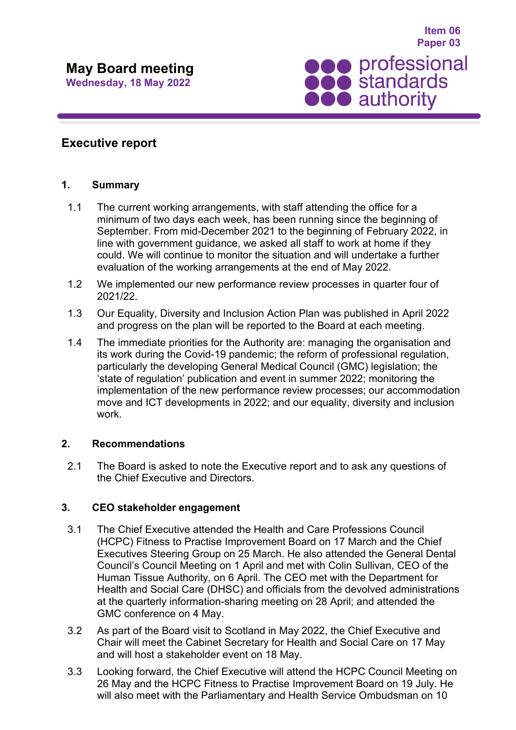

**Item 06**

# **Executive report**

## **1. Summary**

- 1.1 The current working arrangements, with staff attending the office for a minimum of two days each week, has been running since the beginning of September. From mid-December 2021 to the beginning of February 2022, in line with government guidance, we asked all staff to work at home if they could. We will continue to monitor the situation and will undertake a further evaluation of the working arrangements at the end of May 2022.
- 1.2 We implemented our new performance review processes in quarter four of 2021/22.
- 1.3 Our Equality, Diversity and Inclusion Action Plan was published in April 2022 and progress on the plan will be reported to the Board at each meeting.
- 1.4 The immediate priorities for the Authority are: managing the organisation and its work during the Covid-19 pandemic; the reform of professional regulation, particularly the developing General Medical Council (GMC) legislation; the 'state of regulation' publication and event in summer 2022; monitoring the implementation of the new performance review processes; our accommodation move and ICT developments in 2022; and our equality, diversity and inclusion work.

## **2. Recommendations**

2.1 The Board is asked to note the Executive report and to ask any questions of the Chief Executive and Directors.

# **3. CEO stakeholder engagement**

- 3.1 The Chief Executive attended the Health and Care Professions Council (HCPC) Fitness to Practise Improvement Board on 17 March and the Chief Executives Steering Group on 25 March. He also attended the General Dental Council's Council Meeting on 1 April and met with Colin Sullivan, CEO of the Human Tissue Authority, on 6 April. The CEO met with the Department for Health and Social Care (DHSC) and officials from the devolved administrations at the quarterly information-sharing meeting on 28 April; and attended the GMC conference on 4 May.
- 3.2 As part of the Board visit to Scotland in May 2022, the Chief Executive and Chair will meet the Cabinet Secretary for Health and Social Care on 17 May and will host a stakeholder event on 18 May.
- 3.3 Looking forward, the Chief Executive will attend the HCPC Council Meeting on 26 May and the HCPC Fitness to Practise Improvement Board on 19 July. He will also meet with the Parliamentary and Health Service Ombudsman on 10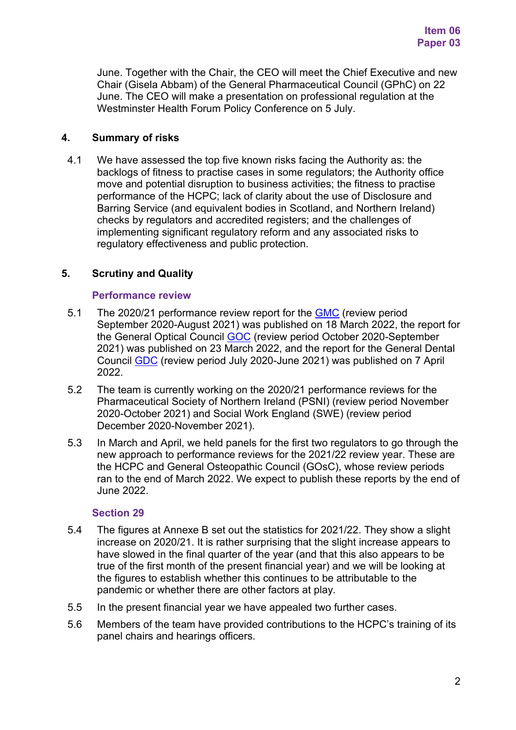June. Together with the Chair, the CEO will meet the Chief Executive and new Chair (Gisela Abbam) of the General Pharmaceutical Council (GPhC) on 22 June. The CEO will make a presentation on professional regulation at the Westminster Health Forum Policy Conference on 5 July.

## **4. Summary of risks**

4.1 We have assessed the top five known risks facing the Authority as: the backlogs of fitness to practise cases in some regulators; the Authority office move and potential disruption to business activities; the fitness to practise performance of the HCPC; lack of clarity about the use of Disclosure and Barring Service (and equivalent bodies in Scotland, and Northern Ireland) checks by regulators and accredited registers; and the challenges of implementing significant regulatory reform and any associated risks to regulatory effectiveness and public protection.

# **5. Scrutiny and Quality**

## **Performance review**

- 5.1 The 2020/21 performance review report for the [GMC](https://www.professionalstandards.org.uk/docs/default-source/publications/performance-reviews/performance-review-gmc-2020-21.pdf?sfvrsn=ae754820_5) (review period September 2020-August 2021) was published on 18 March 2022, the report for the General Optical Council [GOC](https://www.professionalstandards.org.uk/docs/default-source/publications/performance-reviews/performance-review-goc-2020-21.pdf?sfvrsn=65794820_4) (review period October 2020-September 2021) was published on 23 March 2022, and the report for the General Dental Council [GDC](https://www.professionalstandards.org.uk/docs/default-source/publications/performance-reviews/performance-review-gdc-2020-21.pdf?sfvrsn=25694820_5) (review period July 2020-June 2021) was published on 7 April 2022.
- 5.2 The team is currently working on the 2020/21 performance reviews for the Pharmaceutical Society of Northern Ireland (PSNI) (review period November 2020-October 2021) and Social Work England (SWE) (review period December 2020-November 2021).
- 5.3 In March and April, we held panels for the first two regulators to go through the new approach to performance reviews for the 2021/22 review year. These are the HCPC and General Osteopathic Council (GOsC), whose review periods ran to the end of March 2022. We expect to publish these reports by the end of June 2022.

## **Section 29**

- 5.4 The figures at Annexe B set out the statistics for 2021/22. They show a slight increase on 2020/21. It is rather surprising that the slight increase appears to have slowed in the final quarter of the year (and that this also appears to be true of the first month of the present financial year) and we will be looking at the figures to establish whether this continues to be attributable to the pandemic or whether there are other factors at play.
- 5.5 In the present financial year we have appealed two further cases.
- 5.6 Members of the team have provided contributions to the HCPC's training of its panel chairs and hearings officers.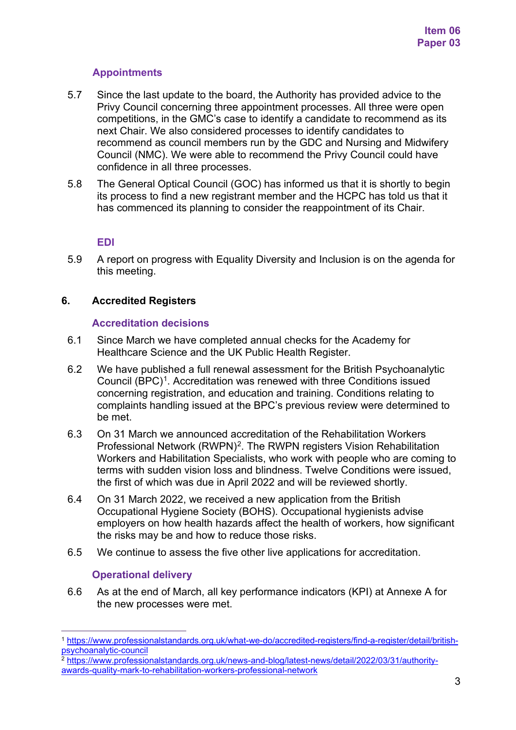# **Appointments**

- 5.7 Since the last update to the board, the Authority has provided advice to the Privy Council concerning three appointment processes. All three were open competitions, in the GMC's case to identify a candidate to recommend as its next Chair. We also considered processes to identify candidates to recommend as council members run by the GDC and Nursing and Midwifery Council (NMC). We were able to recommend the Privy Council could have confidence in all three processes.
- 5.8 The General Optical Council (GOC) has informed us that it is shortly to begin its process to find a new registrant member and the HCPC has told us that it has commenced its planning to consider the reappointment of its Chair.

## **EDI**

5.9 A report on progress with Equality Diversity and Inclusion is on the agenda for this meeting.

## **6. Accredited Registers**

## **Accreditation decisions**

- 6.1 Since March we have completed annual checks for the Academy for Healthcare Science and the UK Public Health Register.
- 6.2 We have published a full renewal assessment for the British Psychoanalytic Council (BPC)<sup>[1](#page-2-0)</sup>. Accreditation was renewed with three Conditions issued concerning registration, and education and training. Conditions relating to complaints handling issued at the BPC's previous review were determined to be met.
- 6.3 On 31 March we announced accreditation of the Rehabilitation Workers Professional Network (RWPN)<sup>[2](#page-2-1)</sup>. The RWPN registers Vision Rehabilitation Workers and Habilitation Specialists, who work with people who are coming to terms with sudden vision loss and blindness. Twelve Conditions were issued, the first of which was due in April 2022 and will be reviewed shortly.
- 6.4 On 31 March 2022, we received a new application from the British Occupational Hygiene Society (BOHS). Occupational hygienists advise employers on how health hazards affect the health of workers, how significant the risks may be and how to reduce those risks.
- 6.5 We continue to assess the five other live applications for accreditation.

# **Operational delivery**

6.6 As at the end of March, all key performance indicators (KPI) at Annexe A for the new processes were met.

<span id="page-2-0"></span><sup>1</sup> [https://www.professionalstandards.org.uk/what-we-do/accredited-registers/find-a-register/detail/british](https://www.professionalstandards.org.uk/what-we-do/accredited-registers/find-a-register/detail/british-psychoanalytic-council)[psychoanalytic-council](https://www.professionalstandards.org.uk/what-we-do/accredited-registers/find-a-register/detail/british-psychoanalytic-council)

<span id="page-2-1"></span><sup>2</sup> [https://www.professionalstandards.org.uk/news-and-blog/latest-news/detail/2022/03/31/authority](https://www.professionalstandards.org.uk/news-and-blog/latest-news/detail/2022/03/31/authority-awards-quality-mark-to-rehabilitation-workers-professional-network)[awards-quality-mark-to-rehabilitation-workers-professional-network](https://www.professionalstandards.org.uk/news-and-blog/latest-news/detail/2022/03/31/authority-awards-quality-mark-to-rehabilitation-workers-professional-network)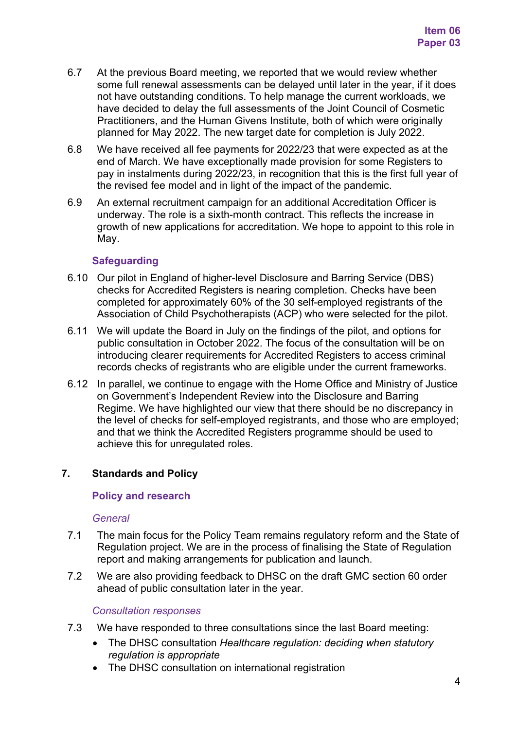- 6.7 At the previous Board meeting, we reported that we would review whether some full renewal assessments can be delayed until later in the year, if it does not have outstanding conditions. To help manage the current workloads, we have decided to delay the full assessments of the Joint Council of Cosmetic Practitioners, and the Human Givens Institute, both of which were originally planned for May 2022. The new target date for completion is July 2022.
- 6.8 We have received all fee payments for 2022/23 that were expected as at the end of March. We have exceptionally made provision for some Registers to pay in instalments during 2022/23, in recognition that this is the first full year of the revised fee model and in light of the impact of the pandemic.
- 6.9 An external recruitment campaign for an additional Accreditation Officer is underway. The role is a sixth-month contract. This reflects the increase in growth of new applications for accreditation. We hope to appoint to this role in May.

## **Safeguarding**

- 6.10 Our pilot in England of higher-level Disclosure and Barring Service (DBS) checks for Accredited Registers is nearing completion. Checks have been completed for approximately 60% of the 30 self-employed registrants of the Association of Child Psychotherapists (ACP) who were selected for the pilot.
- 6.11 We will update the Board in July on the findings of the pilot, and options for public consultation in October 2022. The focus of the consultation will be on introducing clearer requirements for Accredited Registers to access criminal records checks of registrants who are eligible under the current frameworks.
- 6.12 In parallel, we continue to engage with the Home Office and Ministry of Justice on Government's Independent Review into the Disclosure and Barring Regime. We have highlighted our view that there should be no discrepancy in the level of checks for self-employed registrants, and those who are employed; and that we think the Accredited Registers programme should be used to achieve this for unregulated roles.

# **7. Standards and Policy**

## **Policy and research**

## *General*

- 7.1 The main focus for the Policy Team remains regulatory reform and the State of Regulation project. We are in the process of finalising the State of Regulation report and making arrangements for publication and launch.
- 7.2 We are also providing feedback to DHSC on the draft GMC section 60 order ahead of public consultation later in the year.

#### *Consultation responses*

- 7.3 We have responded to three consultations since the last Board meeting:
	- The DHSC consultation *Healthcare regulation: deciding when statutory regulation is appropriate*
	- The DHSC consultation on international registration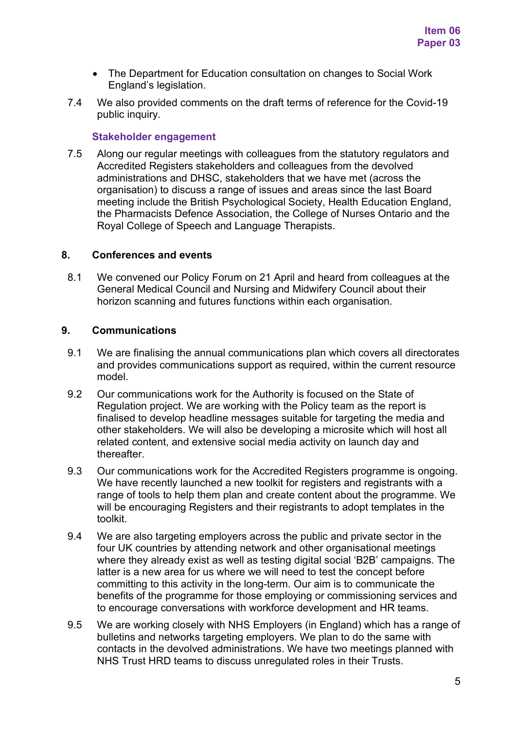- The Department for Education consultation on changes to Social Work England's legislation.
- 7.4 We also provided comments on the draft terms of reference for the Covid-19 public inquiry.

### **Stakeholder engagement**

7.5 Along our regular meetings with colleagues from the statutory regulators and Accredited Registers stakeholders and colleagues from the devolved administrations and DHSC, stakeholders that we have met (across the organisation) to discuss a range of issues and areas since the last Board meeting include the British Psychological Society, Health Education England, the Pharmacists Defence Association, the College of Nurses Ontario and the Royal College of Speech and Language Therapists.

#### **8. Conferences and events**

8.1 We convened our Policy Forum on 21 April and heard from colleagues at the General Medical Council and Nursing and Midwifery Council about their horizon scanning and futures functions within each organisation.

## **9. Communications**

- 9.1 We are finalising the annual communications plan which covers all directorates and provides communications support as required, within the current resource model.
- 9.2 Our communications work for the Authority is focused on the State of Regulation project. We are working with the Policy team as the report is finalised to develop headline messages suitable for targeting the media and other stakeholders. We will also be developing a microsite which will host all related content, and extensive social media activity on launch day and thereafter.
- 9.3 Our communications work for the Accredited Registers programme is ongoing. We have recently launched a new toolkit for registers and registrants with a range of tools to help them plan and create content about the programme. We will be encouraging Registers and their registrants to adopt templates in the toolkit.
- 9.4 We are also targeting employers across the public and private sector in the four UK countries by attending network and other organisational meetings where they already exist as well as testing digital social 'B2B' campaigns. The latter is a new area for us where we will need to test the concept before committing to this activity in the long-term. Our aim is to communicate the benefits of the programme for those employing or commissioning services and to encourage conversations with workforce development and HR teams.
- 9.5 We are working closely with NHS Employers (in England) which has a range of bulletins and networks targeting employers. We plan to do the same with contacts in the devolved administrations. We have two meetings planned with NHS Trust HRD teams to discuss unregulated roles in their Trusts.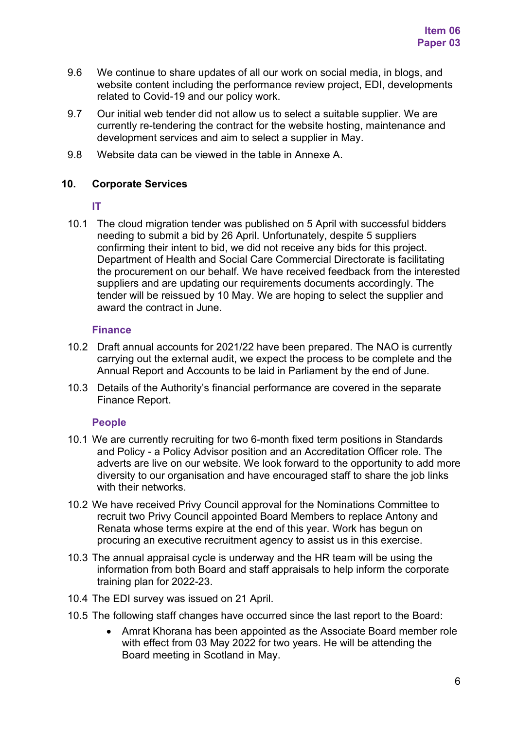- 9.6 We continue to share updates of all our work on social media, in blogs, and website content including the performance review project, EDI, developments related to Covid-19 and our policy work.
- 9.7 Our initial web tender did not allow us to select a suitable supplier. We are currently re-tendering the contract for the website hosting, maintenance and development services and aim to select a supplier in May.
- 9.8 Website data can be viewed in the table in Annexe A.

## **10. Corporate Services**

## **IT**

10.1 The cloud migration tender was published on 5 April with successful bidders needing to submit a bid by 26 April. Unfortunately, despite 5 suppliers confirming their intent to bid, we did not receive any bids for this project. Department of Health and Social Care Commercial Directorate is facilitating the procurement on our behalf. We have received feedback from the interested suppliers and are updating our requirements documents accordingly. The tender will be reissued by 10 May. We are hoping to select the supplier and award the contract in June.

## **Finance**

- 10.2 Draft annual accounts for 2021/22 have been prepared. The NAO is currently carrying out the external audit, we expect the process to be complete and the Annual Report and Accounts to be laid in Parliament by the end of June.
- 10.3 Details of the Authority's financial performance are covered in the separate Finance Report.

# **People**

- 10.1 We are currently recruiting for two 6-month fixed term positions in Standards and Policy - a Policy Advisor position and an Accreditation Officer role. The adverts are live on our website. We look forward to the opportunity to add more diversity to our organisation and have encouraged staff to share the job links with their networks.
- 10.2 We have received Privy Council approval for the Nominations Committee to recruit two Privy Council appointed Board Members to replace Antony and Renata whose terms expire at the end of this year. Work has begun on procuring an executive recruitment agency to assist us in this exercise.
- 10.3 The annual appraisal cycle is underway and the HR team will be using the information from both Board and staff appraisals to help inform the corporate training plan for 2022-23.
- 10.4 The EDI survey was issued on 21 April.
- 10.5 The following staff changes have occurred since the last report to the Board:
	- Amrat Khorana has been appointed as the Associate Board member role with effect from 03 May 2022 for two years. He will be attending the Board meeting in Scotland in May.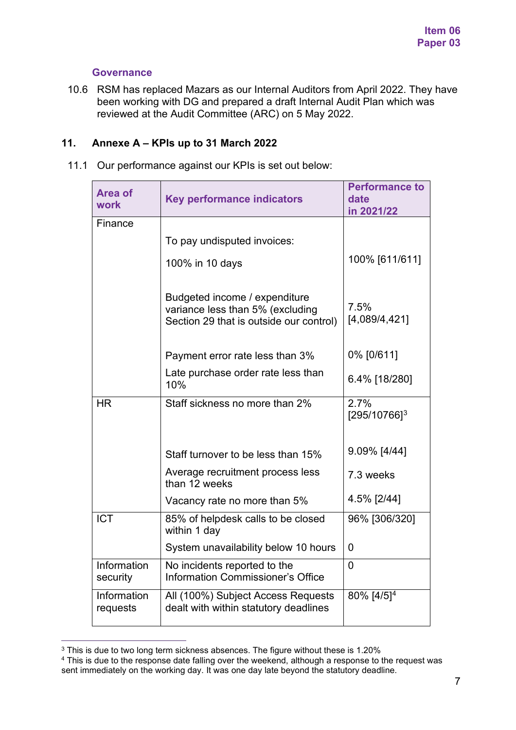## **Governance**

10.6 RSM has replaced Mazars as our Internal Auditors from April 2022. They have been working with DG and prepared a draft Internal Audit Plan which was reviewed at the Audit Committee (ARC) on 5 May 2022.

## **11. Annexe A – KPIs up to 31 March 2022**

11.1 Our performance against our KPIs is set out below:

| <b>Area of</b><br>work  | <b>Key performance indicators</b>                                                                            | <b>Performance to</b><br>date<br>in 2021/22 |
|-------------------------|--------------------------------------------------------------------------------------------------------------|---------------------------------------------|
| Finance                 | To pay undisputed invoices:<br>100% in 10 days                                                               | 100% [611/611]                              |
|                         | Budgeted income / expenditure<br>variance less than 5% (excluding<br>Section 29 that is outside our control) | 7.5%<br>[4,089/4,421]                       |
|                         | Payment error rate less than 3%                                                                              | 0% [0/611]                                  |
|                         | Late purchase order rate less than<br>10%                                                                    | 6.4% [18/280]                               |
| HR                      | Staff sickness no more than 2%                                                                               | 2.7%<br>$[295/10766]^{3}$                   |
|                         | Staff turnover to be less than 15%                                                                           | 9.09% [4/44]                                |
|                         | Average recruitment process less<br>than 12 weeks                                                            | 7.3 weeks                                   |
|                         | Vacancy rate no more than 5%                                                                                 | 4.5% [2/44]                                 |
| <b>ICT</b>              | 85% of helpdesk calls to be closed<br>within 1 day                                                           | 96% [306/320]                               |
|                         | System unavailability below 10 hours                                                                         | $\Omega$                                    |
| Information<br>security | No incidents reported to the<br><b>Information Commissioner's Office</b>                                     | $\Omega$                                    |
| Information<br>requests | All (100%) Subject Access Requests<br>dealt with within statutory deadlines                                  | 80% [4/5] <sup>4</sup>                      |

<span id="page-6-0"></span><sup>&</sup>lt;sup>3</sup> This is due to two long term sickness absences. The figure without these is 1.20%

<span id="page-6-1"></span><sup>&</sup>lt;sup>4</sup> This is due to the response date falling over the weekend, although a response to the request was sent immediately on the working day. It was one day late beyond the statutory deadline.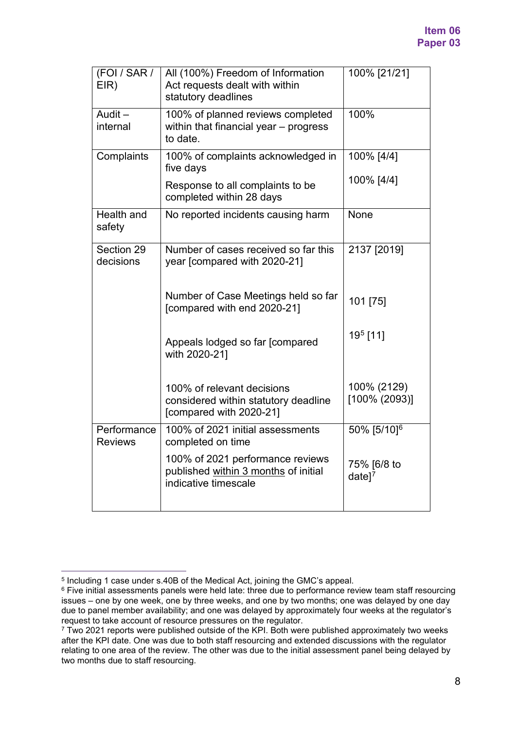| (FOI / SAR /<br>EIR)          | All (100%) Freedom of Information<br>Act requests dealt with within<br>statutory deadlines       | 100% [21/21]                      |
|-------------------------------|--------------------------------------------------------------------------------------------------|-----------------------------------|
| Audit-<br>internal            | 100% of planned reviews completed<br>within that financial year - progress<br>to date.           | 100%                              |
| Complaints                    | 100% of complaints acknowledged in<br>five days                                                  | 100% [4/4]                        |
|                               | Response to all complaints to be<br>completed within 28 days                                     | 100% [4/4]                        |
| Health and<br>safety          | No reported incidents causing harm                                                               | None                              |
| Section 29<br>decisions       | Number of cases received so far this<br>year [compared with 2020-21]                             | 2137 [2019]                       |
|                               | Number of Case Meetings held so far<br>[compared with end 2020-21]                               | 101 [75]                          |
|                               | Appeals lodged so far [compared<br>with 2020-21]                                                 | 19 <sup>5</sup> [11]              |
|                               | 100% of relevant decisions<br>considered within statutory deadline<br>[compared with 2020-21]    | 100% (2129)<br>[100% (2093)]      |
| Performance<br><b>Reviews</b> | 100% of 2021 initial assessments<br>completed on time                                            | 50% [5/10] <sup>6</sup>           |
|                               | 100% of 2021 performance reviews<br>published within 3 months of initial<br>indicative timescale | 75% [6/8 to<br>$date]^\mathsf{T}$ |
|                               |                                                                                                  |                                   |

<span id="page-7-0"></span><sup>5</sup> Including 1 case under s.40B of the Medical Act, joining the GMC's appeal.

<span id="page-7-1"></span><sup>&</sup>lt;sup>6</sup> Five initial assessments panels were held late: three due to performance review team staff resourcing issues – one by one week, one by three weeks, and one by two months; one was delayed by one day due to panel member availability; and one was delayed by approximately four weeks at the regulator's request to take account of resource pressures on the regulator.

<span id="page-7-2"></span><sup>&</sup>lt;sup>7</sup> Two 2021 reports were published outside of the KPI. Both were published approximately two weeks after the KPI date. One was due to both staff resourcing and extended discussions with the regulator relating to one area of the review. The other was due to the initial assessment panel being delayed by two months due to staff resourcing.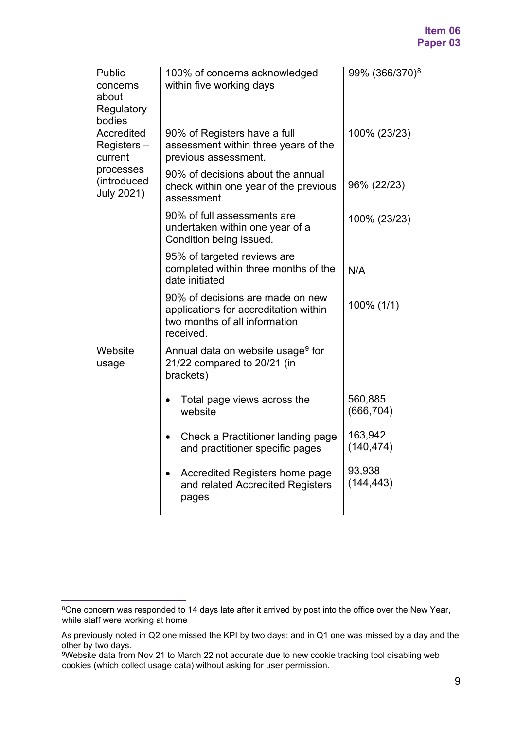| Public<br>concerns<br>about<br>Regulatory<br>bodies | 100% of concerns acknowledged<br>within five working days                                                               | 99% (366/370) <sup>8</sup> |
|-----------------------------------------------------|-------------------------------------------------------------------------------------------------------------------------|----------------------------|
| Accredited<br>Registers-<br>current                 | 90% of Registers have a full<br>assessment within three years of the<br>previous assessment.                            | 100% (23/23)               |
| processes<br>(introduced<br><b>July 2021)</b>       | 90% of decisions about the annual<br>check within one year of the previous<br>assessment.                               | 96% (22/23)                |
|                                                     | 90% of full assessments are<br>undertaken within one year of a<br>Condition being issued.                               | 100% (23/23)               |
|                                                     | 95% of targeted reviews are<br>completed within three months of the<br>date initiated                                   | N/A                        |
|                                                     | 90% of decisions are made on new<br>applications for accreditation within<br>two months of all information<br>received. | 100% (1/1)                 |
| Website<br>usage                                    | Annual data on website usage <sup>9</sup> for<br>21/22 compared to 20/21 (in<br>brackets)                               |                            |
|                                                     | Total page views across the<br>website                                                                                  | 560,885<br>(666, 704)      |
|                                                     | Check a Practitioner landing page<br>and practitioner specific pages                                                    | 163,942<br>(140, 474)      |
|                                                     | Accredited Registers home page<br>$\bullet$<br>and related Accredited Registers<br>pages                                | 93,938<br>(144, 443)       |

<span id="page-8-0"></span><sup>&</sup>lt;sup>8</sup>One concern was responded to 14 days late after it arrived by post into the office over the New Year, while staff were working at home

As previously noted in Q2 one missed the KPI by two days; and in Q1 one was missed by a day and the other by two days.

<span id="page-8-1"></span><sup>9</sup>Website data from Nov 21 to March 22 not accurate due to new cookie tracking tool disabling web cookies (which collect usage data) without asking for user permission.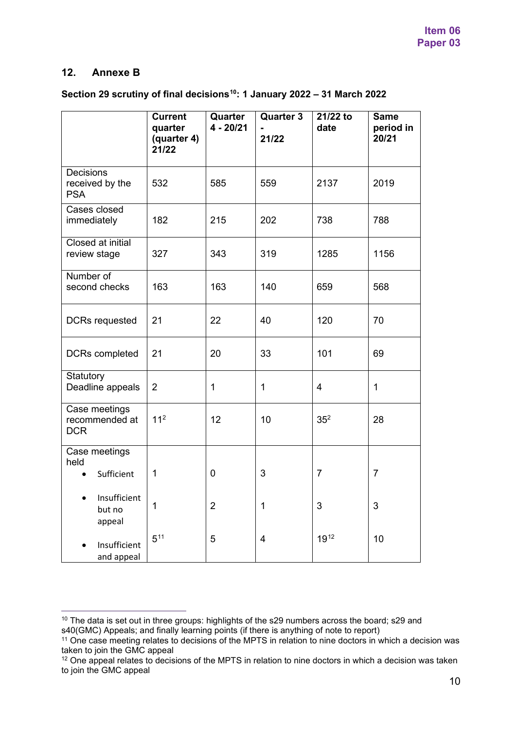## **12. Annexe B**

## **Section 29 scrutiny of final decisions[10](#page-9-0): 1 January 2022 – 31 March 2022**

|                                                   | <b>Current</b><br>quarter<br>(quarter 4)<br>21/22 | Quarter<br>4 - 20/21 | <b>Quarter 3</b><br>21/22 | 21/22 to<br>date | <b>Same</b><br>period in<br>20/21 |
|---------------------------------------------------|---------------------------------------------------|----------------------|---------------------------|------------------|-----------------------------------|
| <b>Decisions</b><br>received by the<br><b>PSA</b> | 532                                               | 585                  | 559                       | 2137             | 2019                              |
| Cases closed<br>immediately                       | 182                                               | 215                  | 202                       | 738              | 788                               |
| Closed at initial<br>review stage                 | 327                                               | 343                  | 319                       | 1285             | 1156                              |
| Number of<br>second checks                        | 163                                               | 163                  | 140                       | 659              | 568                               |
| <b>DCRs requested</b>                             | 21                                                | 22                   | 40                        | 120              | 70                                |
| DCRs completed                                    | 21                                                | 20                   | 33                        | 101              | 69                                |
| Statutory<br>Deadline appeals                     | $\overline{2}$                                    | 1                    | 1                         | $\overline{4}$   | $\mathbf{1}$                      |
| Case meetings<br>recommended at<br><b>DCR</b>     | 11 <sup>2</sup>                                   | 12                   | 10                        | 35 <sup>2</sup>  | 28                                |
| Case meetings<br>held<br>Sufficient               | 1                                                 | $\mathbf 0$          | 3                         | $\overline{7}$   | $\overline{7}$                    |
| Insufficient<br>but no<br>appeal                  | 1                                                 | $\overline{2}$       | 1                         | 3                | 3                                 |
| Insufficient<br>and appeal                        | $5^{11}$                                          | 5                    | $\overline{4}$            | 1912             | 10                                |

<span id="page-9-0"></span><sup>&</sup>lt;sup>10</sup> The data is set out in three groups: highlights of the s29 numbers across the board; s29 and s40(GMC) Appeals; and finally learning points (if there is anything of note to report)

<span id="page-9-1"></span><sup>11</sup> One case meeting relates to decisions of the MPTS in relation to nine doctors in which a decision was taken to join the GMC appeal

<span id="page-9-2"></span><sup>&</sup>lt;sup>12</sup> One appeal relates to decisions of the MPTS in relation to nine doctors in which a decision was taken to join the GMC appeal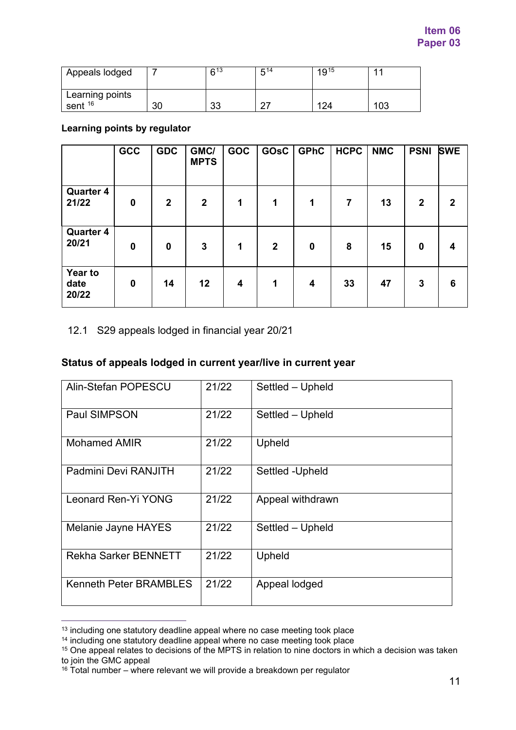| Appeals lodged             |     | 613     | 5,14 | 1915 |       |
|----------------------------|-----|---------|------|------|-------|
| Learning points<br>sent 16 | חכי | ົ<br>ບບ |      | 124  | 1 N 2 |

**Learning points by regulator**

|                           | GCC         | <b>GDC</b>       | GMC/<br><b>MPTS</b> | <b>GOC</b> | GOsC           | <b>GPhC</b> | <b>HCPC</b>    | <b>NMC</b> | <b>PSNI</b>      | <b>SWE</b>     |
|---------------------------|-------------|------------------|---------------------|------------|----------------|-------------|----------------|------------|------------------|----------------|
| <b>Quarter 4</b><br>21/22 | $\mathbf 0$ | $\boldsymbol{2}$ | $\boldsymbol{2}$    | 1          | 1              | 1           | $\overline{7}$ | 13         | $\boldsymbol{2}$ | $\overline{2}$ |
| <b>Quarter 4</b><br>20/21 | $\bf{0}$    | $\boldsymbol{0}$ | $\mathbf{3}$        | 1          | $\overline{2}$ | $\mathbf 0$ | 8              | 15         | $\mathbf 0$      | 4              |
| Year to<br>date<br>20/22  | $\mathbf 0$ | 14               | 12                  | 4          | 1              | 4           | 33             | 47         | 3                | 6              |

## 12.1 S29 appeals lodged in financial year 20/21

## **Status of appeals lodged in current year/live in current year**

| Alin-Stefan POPESCU           | 21/22 | Settled - Upheld |
|-------------------------------|-------|------------------|
| Paul SIMPSON                  | 21/22 | Settled - Upheld |
| <b>Mohamed AMIR</b>           | 21/22 | Upheld           |
| Padmini Devi RANJITH          | 21/22 | Settled -Upheld  |
| Leonard Ren-Yi YONG           | 21/22 | Appeal withdrawn |
| Melanie Jayne HAYES           | 21/22 | Settled - Upheld |
| <b>Rekha Sarker BENNETT</b>   | 21/22 | Upheld           |
| <b>Kenneth Peter BRAMBLES</b> | 21/22 | Appeal lodged    |
|                               |       |                  |

<span id="page-10-0"></span><sup>&</sup>lt;sup>13</sup> including one statutory deadline appeal where no case meeting took place

<span id="page-10-1"></span><sup>&</sup>lt;sup>14</sup> including one statutory deadline appeal where no case meeting took place

<span id="page-10-2"></span><sup>&</sup>lt;sup>15</sup> One appeal relates to decisions of the MPTS in relation to nine doctors in which a decision was taken to join the GMC appeal

<span id="page-10-3"></span> $16$  Total number – where relevant we will provide a breakdown per regulator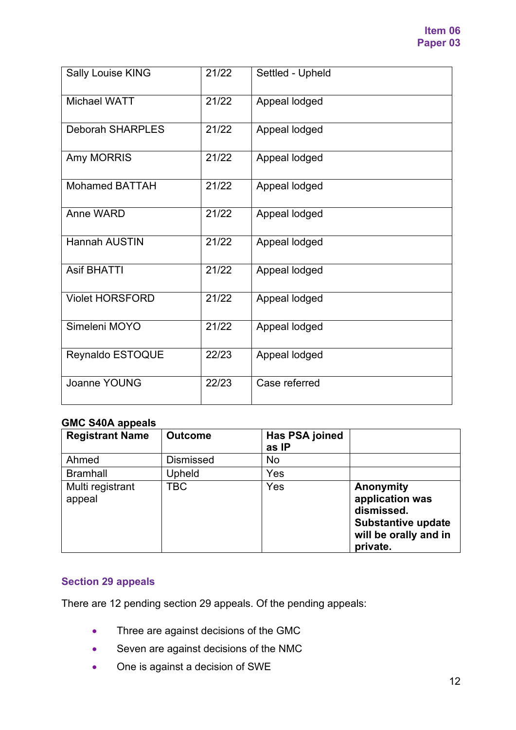| <b>Sally Louise KING</b> | 21/22 | Settled - Upheld |
|--------------------------|-------|------------------|
| <b>Michael WATT</b>      | 21/22 | Appeal lodged    |
| <b>Deborah SHARPLES</b>  | 21/22 | Appeal lodged    |
| Amy MORRIS               | 21/22 | Appeal lodged    |
| <b>Mohamed BATTAH</b>    | 21/22 | Appeal lodged    |
| Anne WARD                | 21/22 | Appeal lodged    |
| <b>Hannah AUSTIN</b>     | 21/22 | Appeal lodged    |
| <b>Asif BHATTI</b>       | 21/22 | Appeal lodged    |
| <b>Violet HORSFORD</b>   | 21/22 | Appeal lodged    |
| Simeleni MOYO            | 21/22 | Appeal lodged    |
| Reynaldo ESTOQUE         | 22/23 | Appeal lodged    |
| Joanne YOUNG             | 22/23 | Case referred    |

# **GMC S40A appeals**

| <b>Registrant Name</b>     | <b>Outcome</b>   | Has PSA joined<br>as IP |                                                                                                              |
|----------------------------|------------------|-------------------------|--------------------------------------------------------------------------------------------------------------|
| Ahmed                      | <b>Dismissed</b> | No                      |                                                                                                              |
| <b>Bramhall</b>            | Upheld           | Yes                     |                                                                                                              |
| Multi registrant<br>appeal | TBC              | Yes                     | Anonymity<br>application was<br>dismissed.<br><b>Substantive update</b><br>will be orally and in<br>private. |

# **Section 29 appeals**

There are 12 pending section 29 appeals. Of the pending appeals:

- Three are against decisions of the GMC
- Seven are against decisions of the NMC
- One is against a decision of SWE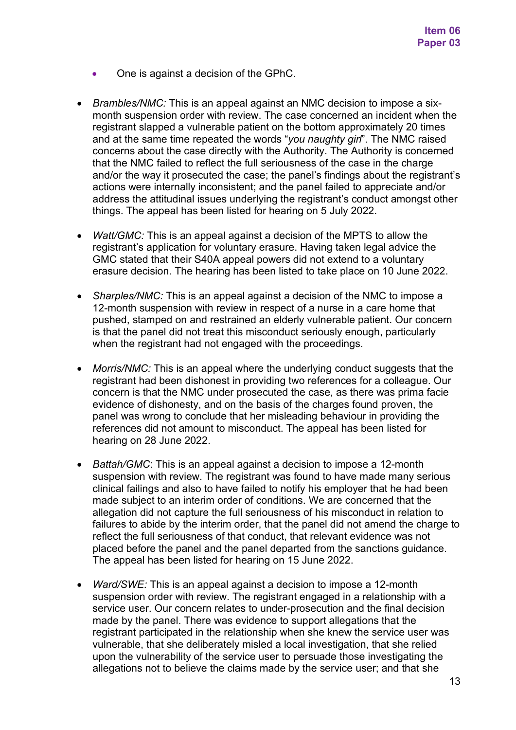- One is against a decision of the GPhC.
- *Brambles/NMC:* This is an appeal against an NMC decision to impose a sixmonth suspension order with review. The case concerned an incident when the registrant slapped a vulnerable patient on the bottom approximately 20 times and at the same time repeated the words "*you naughty girl*". The NMC raised concerns about the case directly with the Authority. The Authority is concerned that the NMC failed to reflect the full seriousness of the case in the charge and/or the way it prosecuted the case; the panel's findings about the registrant's actions were internally inconsistent; and the panel failed to appreciate and/or address the attitudinal issues underlying the registrant's conduct amongst other things. The appeal has been listed for hearing on 5 July 2022.
- *Watt/GMC:* This is an appeal against a decision of the MPTS to allow the registrant's application for voluntary erasure. Having taken legal advice the GMC stated that their S40A appeal powers did not extend to a voluntary erasure decision. The hearing has been listed to take place on 10 June 2022.
- *Sharples/NMC:* This is an appeal against a decision of the NMC to impose a 12-month suspension with review in respect of a nurse in a care home that pushed, stamped on and restrained an elderly vulnerable patient. Our concern is that the panel did not treat this misconduct seriously enough, particularly when the registrant had not engaged with the proceedings.
- *Morris/NMC:* This is an appeal where the underlying conduct suggests that the registrant had been dishonest in providing two references for a colleague. Our concern is that the NMC under prosecuted the case, as there was prima facie evidence of dishonesty, and on the basis of the charges found proven, the panel was wrong to conclude that her misleading behaviour in providing the references did not amount to misconduct. The appeal has been listed for hearing on 28 June 2022.
- *Battah/GMC*: This is an appeal against a decision to impose a 12-month suspension with review. The registrant was found to have made many serious clinical failings and also to have failed to notify his employer that he had been made subject to an interim order of conditions. We are concerned that the allegation did not capture the full seriousness of his misconduct in relation to failures to abide by the interim order, that the panel did not amend the charge to reflect the full seriousness of that conduct, that relevant evidence was not placed before the panel and the panel departed from the sanctions guidance. The appeal has been listed for hearing on 15 June 2022.
- *Ward/SWE:* This is an appeal against a decision to impose a 12-month suspension order with review. The registrant engaged in a relationship with a service user. Our concern relates to under-prosecution and the final decision made by the panel. There was evidence to support allegations that the registrant participated in the relationship when she knew the service user was vulnerable, that she deliberately misled a local investigation, that she relied upon the vulnerability of the service user to persuade those investigating the allegations not to believe the claims made by the service user; and that she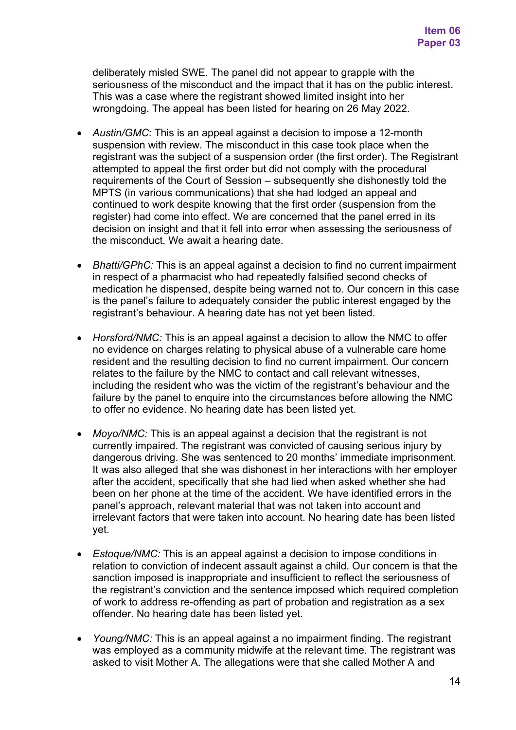deliberately misled SWE. The panel did not appear to grapple with the seriousness of the misconduct and the impact that it has on the public interest. This was a case where the registrant showed limited insight into her wrongdoing. The appeal has been listed for hearing on 26 May 2022.

- *Austin/GMC*: This is an appeal against a decision to impose a 12-month suspension with review. The misconduct in this case took place when the registrant was the subject of a suspension order (the first order). The Registrant attempted to appeal the first order but did not comply with the procedural requirements of the Court of Session – subsequently she dishonestly told the MPTS (in various communications) that she had lodged an appeal and continued to work despite knowing that the first order (suspension from the register) had come into effect. We are concerned that the panel erred in its decision on insight and that it fell into error when assessing the seriousness of the misconduct. We await a hearing date.
- *Bhatti/GPhC:* This is an appeal against a decision to find no current impairment in respect of a pharmacist who had repeatedly falsified second checks of medication he dispensed, despite being warned not to. Our concern in this case is the panel's failure to adequately consider the public interest engaged by the registrant's behaviour. A hearing date has not yet been listed.
- *Horsford/NMC:* This is an appeal against a decision to allow the NMC to offer no evidence on charges relating to physical abuse of a vulnerable care home resident and the resulting decision to find no current impairment. Our concern relates to the failure by the NMC to contact and call relevant witnesses, including the resident who was the victim of the registrant's behaviour and the failure by the panel to enquire into the circumstances before allowing the NMC to offer no evidence. No hearing date has been listed yet.
- *Moyo/NMC:* This is an appeal against a decision that the registrant is not currently impaired. The registrant was convicted of causing serious injury by dangerous driving. She was sentenced to 20 months' immediate imprisonment. It was also alleged that she was dishonest in her interactions with her employer after the accident, specifically that she had lied when asked whether she had been on her phone at the time of the accident. We have identified errors in the panel's approach, relevant material that was not taken into account and irrelevant factors that were taken into account. No hearing date has been listed yet.
- *Estoque/NMC:* This is an appeal against a decision to impose conditions in relation to conviction of indecent assault against a child. Our concern is that the sanction imposed is inappropriate and insufficient to reflect the seriousness of the registrant's conviction and the sentence imposed which required completion of work to address re-offending as part of probation and registration as a sex offender. No hearing date has been listed yet.
- *Young/NMC:* This is an appeal against a no impairment finding. The registrant was employed as a community midwife at the relevant time. The registrant was asked to visit Mother A. The allegations were that she called Mother A and